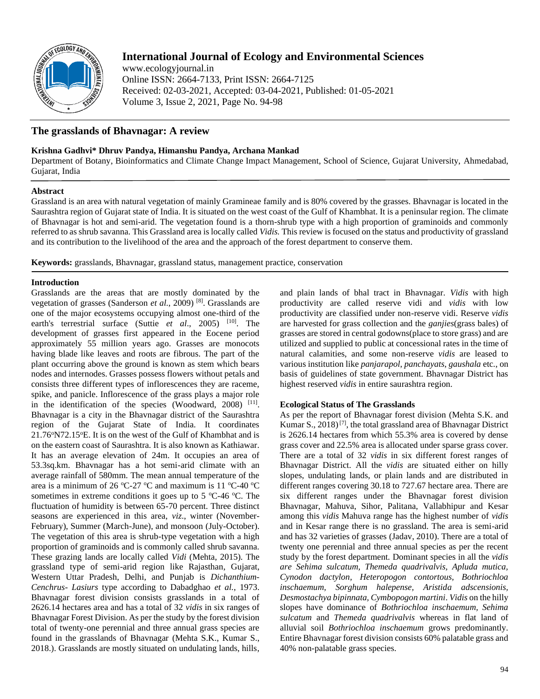

# **International Journal of Ecology and Environmental Sciences**

www.ecologyjournal.in Online ISSN: 2664-7133, Print ISSN: 2664-7125 Received: 02-03-2021, Accepted: 03-04-2021, Published: 01-05-2021 Volume 3, Issue 2, 2021, Page No. 94-98

# **The grasslands of Bhavnagar: A review**

# **Krishna Gadhvi\* Dhruv Pandya, Himanshu Pandya, Archana Mankad**

Department of Botany, Bioinformatics and Climate Change Impact Management, School of Science, Gujarat University, Ahmedabad, Gujarat, India

# **Abstract**

Grassland is an area with natural vegetation of mainly Gramineae family and is 80% covered by the grasses. Bhavnagar is located in the Saurashtra region of Gujarat state of India. It is situated on the west coast of the Gulf of Khambhat. It is a peninsular region. The climate of Bhavnagar is hot and semi-arid. The vegetation found is a thorn-shrub type with a high proportion of graminoids and commonly referred to as shrub savanna. This Grassland area is locally called *Vidis.* This review is focused on the status and productivity of grassland and its contribution to the livelihood of the area and the approach of the forest department to conserve them.

**Keywords:** grasslands, Bhavnagar, grassland status, management practice, conservation

### **Introduction**

Grasslands are the areas that are mostly dominated by the vegetation of grasses (Sanderson *et al.*, 2009) [8]. Grasslands are one of the major ecosystems occupying almost one-third of the earth's terrestrial surface (Suttie *et al.*, 2005)<sup>[10]</sup>. The development of grasses first appeared in the Eocene period approximately 55 million years ago. Grasses are monocots having blade like leaves and roots are fibrous. The part of the plant occurring above the ground is known as stem which bears nodes and internodes. Grasses possess flowers without petals and consists three different types of inflorescences they are raceme, spike, and panicle. Inflorescence of the grass plays a major role in the identification of the species (Woodward, 2008) [11]. Bhavnagar is a city in the Bhavnagar district of the Saurashtra region of the Gujarat State of India. It coordinates 21.76°N72.15°E. It is on the west of the Gulf of Khambhat and is on the eastern coast of Saurashtra. It is also known as Kathiawar. It has an average elevation of 24m. It occupies an area of 53.3sq.km. Bhavnagar has a hot semi-arid climate with an average rainfall of 580mm. The mean annual temperature of the area is a minimum of 26 °C-27 °C and maximum is 11 °C-40 °C sometimes in extreme conditions it goes up to 5  $\degree$ C-46  $\degree$ C. The fluctuation of humidity is between 65-70 percent. Three distinct seasons are experienced in this area, *viz*., winter (November-February), Summer (March-June), and monsoon (July-October). The vegetation of this area is shrub-type vegetation with a high proportion of graminoids and is commonly called shrub savanna. These grazing lands are locally called *Vidi* (Mehta, 2015). The grassland type of semi-arid region like Rajasthan, Gujarat, Western Uttar Pradesh, Delhi, and Punjab is *Dichanthium*-*Cenchrus*- *Lasiurs* type according to Dabadghao *et al.*, 1973. Bhavnagar forest division consists grasslands in a total of 2626.14 hectares area and has a total of 32 *vidis* in six ranges of Bhavnagar Forest Division. As per the study by the forest division total of twenty-one perennial and three annual grass species are found in the grasslands of Bhavnagar (Mehta S.K., Kumar S., 2018.). Grasslands are mostly situated on undulating lands, hills,

and plain lands of bhal tract in Bhavnagar. *Vidis* with high productivity are called reserve vidi and *vidis* with low productivity are classified under non-reserve vidi. Reserve *vidis* are harvested for grass collection and the *ganjies*(grass bales) of grasses are stored in central godowns(place to store grass) and are utilized and supplied to public at concessional rates in the time of natural calamities, and some non-reserve *vidis* are leased to various institution like *panjarapol*, *panchayats*, *gaushala* etc., on basis of guidelines of state government. Bhavnagar District has highest reserved *vidis* in entire saurashtra region.

# **Ecological Status of The Grasslands**

As per the report of Bhavnagar forest division (Mehta S.K. and Kumar S.,  $2018$ <sup>[7]</sup>, the total grassland area of Bhavnagar District is 2626.14 hectares from which 55.3% area is covered by dense grass cover and 22.5% area is allocated under sparse grass cover. There are a total of 32 *vidis* in six different forest ranges of Bhavnagar District. All the *vidis* are situated either on hilly slopes, undulating lands, or plain lands and are distributed in different ranges covering 30.18 to 727.67 hectare area. There are six different ranges under the Bhavnagar forest division Bhavnagar, Mahuva, Sihor, Palitana, Vallabhipur and Kesar among this *vidis* Mahuva range has the highest number of *vidis*  and in Kesar range there is no grassland. The area is semi-arid and has 32 varieties of grasses (Jadav, 2010). There are a total of twenty one perennial and three annual species as per the recent study by the forest department. Dominant species in all the *vidis are Sehima sulcatum, Themeda quadrivalvis, Apluda mutica, Cynodon dactylon, Heteropogon contortous, Bothriochloa inschaemum, Sorghum halepense, Aristida adscensionis, Desmostachya bipinnata, Cymbopogon martini*. *Vidis* on the hilly slopes have dominance of *Bothriochloa inschaemum, Sehima sulcatum* and *Themeda quadrivalvis* whereas in flat land of alluvial soil *Bothriochloa inschaemum* grows predominantly. Entire Bhavnagar forest division consists 60% palatable grass and 40% non-palatable grass species.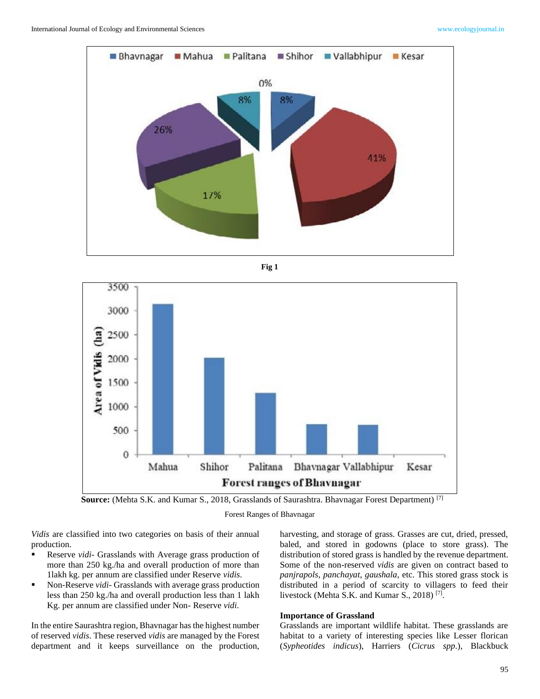





**Source:** (Mehta S.K. and Kumar S., 2018, Grasslands of Saurashtra. Bhavnagar Forest Department) [7]

Forest Ranges of Bhavnagar

*Vidis* are classified into two categories on basis of their annual production.

- Reserve *vidi* Grasslands with Average grass production of more than 250 kg./ha and overall production of more than 1lakh kg. per annum are classified under Reserve *vidis*.
- Non-Reserve *vidi* Grasslands with average grass production less than 250 kg./ha and overall production less than 1 lakh Kg. per annum are classified under Non- Reserve *vidi*.

In the entire Saurashtra region, Bhavnagar has the highest number of reserved *vidis*. These reserved *vidis* are managed by the Forest department and it keeps surveillance on the production,

harvesting, and storage of grass. Grasses are cut, dried, pressed, baled, and stored in godowns (place to store grass). The distribution of stored grass is handled by the revenue department. Some of the non-reserved *vidis* are given on contract based to *panjrapols*, *panchayat*, *gaushala*, etc. This stored grass stock is distributed in a period of scarcity to villagers to feed their livestock (Mehta S.K. and Kumar S., 2018)<sup>[7]</sup>.

#### **Importance of Grassland**

Grasslands are important wildlife habitat. These grasslands are habitat to a variety of interesting species like Lesser florican (*Sypheotides indicus*), Harriers (*Cicrus spp*.), Blackbuck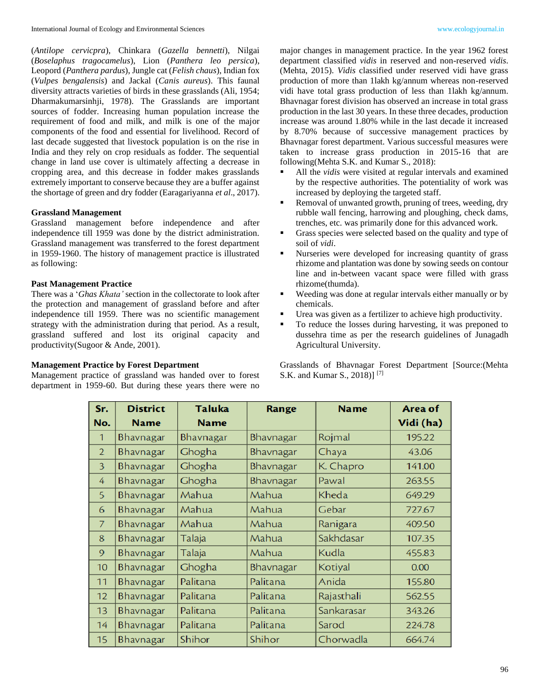(*Antilope cervicpra*), Chinkara (*Gazella bennetti*), Nilgai (*Boselaphus tragocamelus*), Lion (*Panthera leo persica*), Leopord (*Panthera pardus*), Jungle cat (*Felish chaus*), Indian fox (*Vulpes bengalensis*) and Jackal (*Canis aureus*). This faunal diversity attracts varieties of birds in these grasslands (Ali, 1954; Dharmakumarsinhji, 1978). The Grasslands are important sources of fodder. Increasing human population increase the requirement of food and milk, and milk is one of the major components of the food and essential for livelihood. Record of last decade suggested that livestock population is on the rise in India and they rely on crop residuals as fodder. The sequential change in land use cover is ultimately affecting a decrease in cropping area, and this decrease in fodder makes grasslands extremely important to conserve because they are a buffer against the shortage of green and dry fodder (Earagariyanna *et al*., 2017).

### **Grassland Management**

Grassland management before independence and after independence till 1959 was done by the district administration. Grassland management was transferred to the forest department in 1959-1960. The history of management practice is illustrated as following:

#### **Past Management Practice**

There was a '*Ghas Khata'* section in the collectorate to look after the protection and management of grassland before and after independence till 1959. There was no scientific management strategy with the administration during that period. As a result, grassland suffered and lost its original capacity and productivity(Sugoor & Ande, 2001).

### **Management Practice by Forest Department**

Management practice of grassland was handed over to forest department in 1959-60. But during these years there were no major changes in management practice. In the year 1962 forest department classified *vidis* in reserved and non-reserved *vidis*. (Mehta, 2015). *Vidis* classified under reserved vidi have grass production of more than 1lakh kg/annum whereas non-reserved vidi have total grass production of less than 1lakh kg/annum. Bhavnagar forest division has observed an increase in total grass production in the last 30 years. In these three decades, production increase was around 1.80% while in the last decade it increased by 8.70% because of successive management practices by Bhavnagar forest department. Various successful measures were taken to increase grass production in 2015-16 that are following(Mehta S.K. and Kumar S., 2018):

- All the *vidis* were visited at regular intervals and examined by the respective authorities. The potentiality of work was increased by deploying the targeted staff.
- Removal of unwanted growth, pruning of trees, weeding, dry rubble wall fencing, harrowing and ploughing, check dams, trenches, etc. was primarily done for this advanced work.
- Grass species were selected based on the quality and type of soil of *vidi*.
- Nurseries were developed for increasing quantity of grass rhizome and plantation was done by sowing seeds on contour line and in-between vacant space were filled with grass rhizome(thumda).
- Weeding was done at regular intervals either manually or by chemicals.
- Urea was given as a fertilizer to achieve high productivity.
- To reduce the losses during harvesting, it was preponed to dussehra time as per the research guidelines of Junagadh Agricultural University.

Grasslands of Bhavnagar Forest Department [Source:(Mehta S.K. and Kumar S., 2018)] [7]

| Sr.             | <b>District</b> | <b>Taluka</b> | Range     | <b>Name</b> | Area of   |
|-----------------|-----------------|---------------|-----------|-------------|-----------|
| No.             | <b>Name</b>     | <b>Name</b>   |           |             | Vidi (ha) |
| $\mathbf{1}$    | Bhavnagar       | Bhavnagar     | Bhavnagar | Rojmal      | 195.22    |
| $\overline{2}$  | Bhavnagar       | Ghogha        | Bhavnagar | Chaya       | 43.06     |
| 3               | Bhavnagar       | Ghogha        | Bhavnagar | K. Chapro   | 141.00    |
| 4               | Bhavnagar       | Ghogha        | Bhavnagar | Pawal       | 263.55    |
| 5               | Bhavnagar       | Mahua         | Mahua     | Kheda       | 649.29    |
| 6               | Bhavnagar       | Mahua         | Mahua     | Gebar       | 727.67    |
| $\overline{7}$  | Bhavnagar       | Mahua         | Mahua     | Ranigara    | 409.50    |
| 8               | Bhavnagar       | Talaja        | Mahua     | Sakhdasar   | 107.35    |
| 9               | Bhavnagar       | Talaja        | Mahua     | Kudla       | 455.83    |
| 10 <sup>1</sup> | Bhavnagar       | Ghogha        | Bhavnagar | Kotiyal     | 0.00      |
| 11              | Bhavnagar       | Palitana      | Palitana  | Anida       | 155.80    |
| 12              | Bhavnagar       | Palitana      | Palitana  | Rajasthali  | 562.55    |
| 13              | Bhavnagar       | Palitana      | Palitana  | Sankarasar  | 343.26    |
| 14              | Bhavnagar       | Palitana      | Palitana  | Sarod       | 224.78    |
| 15              | Bhavnagar       | Shihor        | Shihor    | Chorwadla   | 664.74    |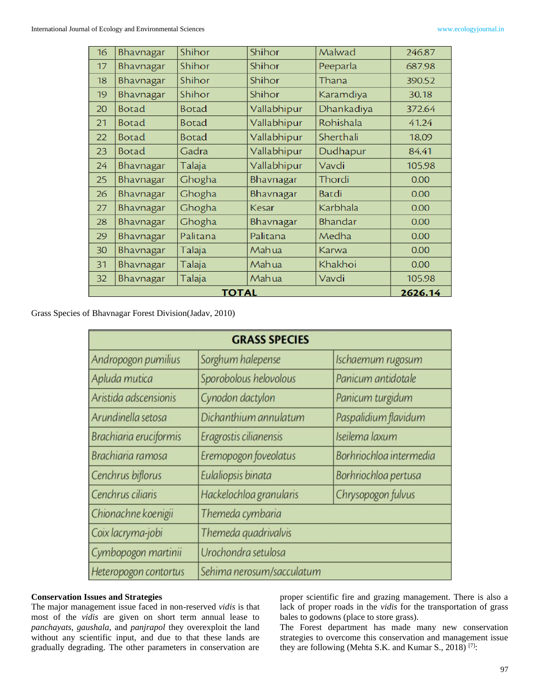| 16 | Bhavnagar    | Shihor       | Shihor      | Malwad     | 246.87 |
|----|--------------|--------------|-------------|------------|--------|
| 17 | Bhavnagar    | Shihor       | Shihor      | Peeparla   | 687.98 |
| 18 | Bhavnagar    | Shihor       | Shihor      | Thana      | 390.52 |
| 19 | Bhavnagar    | Shihor       | Shihor      | Karamdiya  | 30.18  |
| 20 | <b>Botad</b> | <b>Botad</b> | Vallabhipur | Dhankadiya | 372.64 |
| 21 | <b>Botad</b> | <b>Botad</b> | Vallabhipur | Rohishala  | 41.24  |
| 22 | <b>Botad</b> | <b>Botad</b> | Vallabhipur | Sherthali  | 18.09  |
| 23 | <b>Botad</b> | Gadra        | Vallabhipur | Dudhapur   | 84.41  |
| 24 | Bhavnagar    | Talaja       | Vallabhipur | Vavdi      | 105.98 |
| 25 | Bhavnagar    | Ghogha       | Bhavnagar   | Thordi     | 0.00   |
| 26 | Bhavnagar    | Ghogha       | Bhavnagar   | Batdi      | 0.00   |
| 27 | Bhavnagar    | Ghogha       | Kesar       | Karbhala   | 0.00   |
| 28 | Bhavnagar    | Ghogha       | Bhavnagar   | Bhandar    | 0.00   |
| 29 | Bhavnagar    | Palitana     | Palitana    | Medha      | 0.00   |
| 30 | Bhavnagar    | Talaja       | Mahua       | Karwa      | 0.00   |
| 31 | Bhavnagar    | Talaja       | Mahua       | Khakhoi    | 0.00   |
| 32 | Bhavnagar    | Talaja       | Mahua       | Vavdi      | 105.98 |
|    | 2626.14      |              |             |            |        |

Grass Species of Bhavnagar Forest Division(Jadav, 2010)

| <b>GRASS SPECIES</b>                               |                         |                         |  |  |  |  |
|----------------------------------------------------|-------------------------|-------------------------|--|--|--|--|
| Andropogon pumilius                                | Sorghum halepense       | Ischaemum rugosum       |  |  |  |  |
| Apluda mutica                                      | Sporobolous helovolous  | Panicum antidotale      |  |  |  |  |
| Aristida adscensionis                              | Cynodon dactylon        | Panicum turgidum        |  |  |  |  |
| Arundinella setosa                                 | Dichanthium annulatum   | Paspalidium flavidum    |  |  |  |  |
| Brachiaria eruciformis                             | Eragrostis cilianensis  | Iseilema laxum          |  |  |  |  |
| Brachiaria ramosa                                  | Eremopogon foveolatus   | Borhriochloa intermedia |  |  |  |  |
| Cenchrus biflorus                                  | Eulaliopsis binata      | Borhriochloa pertusa    |  |  |  |  |
| Cenchrus ciliaris                                  | Hackelochloa granularis | Chrysopogon fulvus      |  |  |  |  |
| Chionachne koenigii                                | Themeda cymbaria        |                         |  |  |  |  |
| Coix lacryma-jobi                                  | Themeda quadrivalvis    |                         |  |  |  |  |
| Cymbopogon martinii                                | Urochondra setulosa     |                         |  |  |  |  |
| Heteropogon contortus<br>Sehima nerosum/sacculatum |                         |                         |  |  |  |  |

### **Conservation Issues and Strategies**

The major management issue faced in non-reserved *vidis* is that most of the *vidis* are given on short term annual lease to *panchayats, gaushala*, and *panjrapol* they overexploit the land without any scientific input, and due to that these lands are gradually degrading. The other parameters in conservation are

proper scientific fire and grazing management. There is also a lack of proper roads in the *vidis* for the transportation of grass bales to godowns (place to store grass).

The Forest department has made many new conservation strategies to overcome this conservation and management issue they are following (Mehta S.K. and Kumar S., 2018)<sup>[7]</sup>: